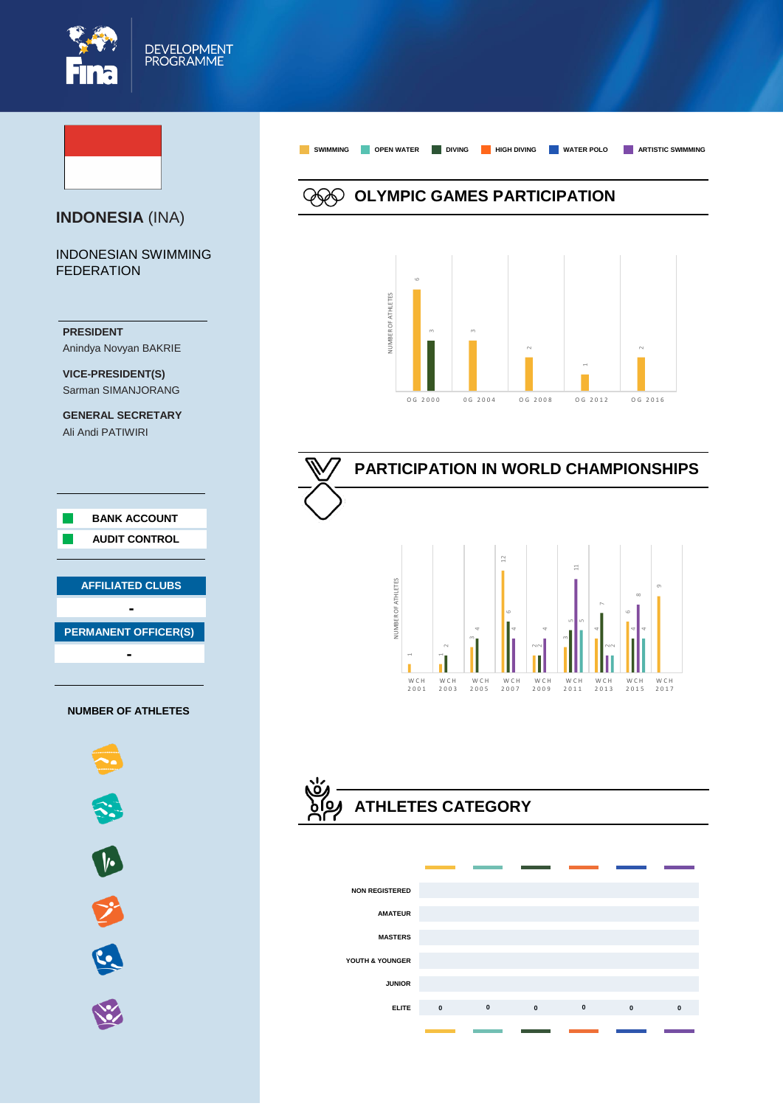



**ELITE 0 0 0 0 0 0**